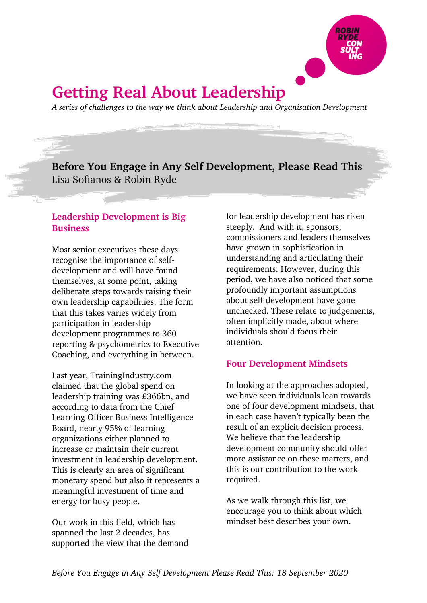

# **Getting Real About Leadership**

*A series of challenges to the way we think about Leadership and Organisation Development*

**Before You Engage in Any Self Development, Please Read This** Lisa Sofianos & Robin Ryde

# **Leadership Development is Big Business**

Most senior executives these days recognise the importance of selfdevelopment and will have found themselves, at some point, taking deliberate steps towards raising their own leadership capabilities. The form that this takes varies widely from participation in leadership development programmes to 360 reporting & psychometrics to Executive Coaching, and everything in between.

Last year, TrainingIndustry.com claimed that the global spend on leadership training was £366bn, and according to data from the Chief Learning Officer Business Intelligence Board, nearly 95% of learning organizations either planned to increase or maintain their current investment in leadership development. This is clearly an area of significant monetary spend but also it represents a meaningful investment of time and energy for busy people.

Our work in this field, which has spanned the last 2 decades, has supported the view that the demand for leadership development has risen steeply. And with it, sponsors, commissioners and leaders themselves have grown in sophistication in understanding and articulating their requirements. However, during this period, we have also noticed that some profoundly important assumptions about self-development have gone unchecked. These relate to judgements, often implicitly made, about where individuals should focus their attention.

# **Four Development Mindsets**

In looking at the approaches adopted, we have seen individuals lean towards one of four development mindsets, that in each case haven't typically been the result of an explicit decision process. We believe that the leadership development community should offer more assistance on these matters, and this is our contribution to the work required.

As we walk through this list, we encourage you to think about which mindset best describes your own.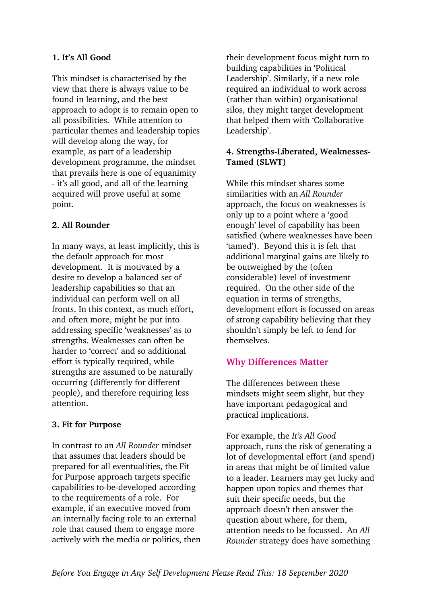## **1. It's All Good**

This mindset is characterised by the view that there is always value to be found in learning, and the best approach to adopt is to remain open to all possibilities. While attention to particular themes and leadership topics will develop along the way, for example, as part of a leadership development programme, the mindset that prevails here is one of equanimity - it's all good, and all of the learning acquired will prove useful at some point.

#### **2. All Rounder**

In many ways, at least implicitly, this is the default approach for most development. It is motivated by a desire to develop a balanced set of leadership capabilities so that an individual can perform well on all fronts. In this context, as much effort, and often more, might be put into addressing specific 'weaknesses' as to strengths. Weaknesses can often be harder to 'correct' and so additional effort is typically required, while strengths are assumed to be naturally occurring (differently for different people), and therefore requiring less attention.

#### **3. Fit for Purpose**

In contrast to an *All Rounder* mindset that assumes that leaders should be prepared for all eventualities, the Fit for Purpose approach targets specific capabilities to-be-developed according to the requirements of a role. For example, if an executive moved from an internally facing role to an external role that caused them to engage more actively with the media or politics, then their development focus might turn to building capabilities in 'Political Leadership'. Similarly, if a new role required an individual to work across (rather than within) organisational silos, they might target development that helped them with 'Collaborative Leadership'.

## **4. Strengths-Liberated, Weaknesses-Tamed (SLWT)**

While this mindset shares some similarities with an *All Rounder* approach, the focus on weaknesses is only up to a point where a 'good enough' level of capability has been satisfied (where weaknesses have been 'tamed'). Beyond this it is felt that additional marginal gains are likely to be outweighed by the (often considerable) level of investment required. On the other side of the equation in terms of strengths, development effort is focussed on areas of strong capability believing that they shouldn't simply be left to fend for themselves.

# **Why Differences Matter**

The differences between these mindsets might seem slight, but they have important pedagogical and practical implications.

For example, the *It's All Good* approach, runs the risk of generating a lot of developmental effort (and spend) in areas that might be of limited value to a leader. Learners may get lucky and happen upon topics and themes that suit their specific needs, but the approach doesn't then answer the question about where, for them, attention needs to be focussed. An *All Rounder* strategy does have something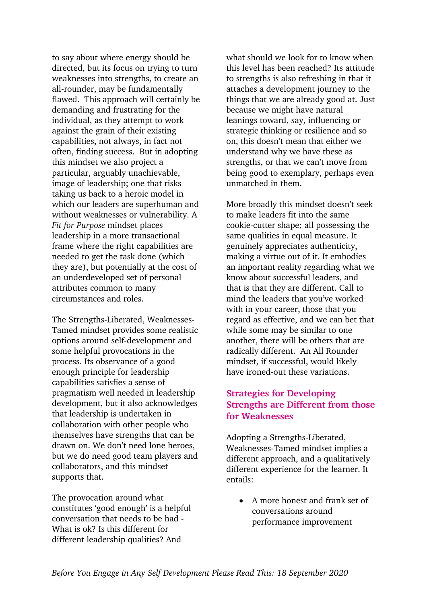to say about where energy should be directed, but its focus on trying to turn weaknesses into strengths, to create an all-rounder, may be fundamentally flawed. This approach will certainly be demanding and frustrating for the individual, as they attempt to work against the grain of their existing capabilities, not always, in fact not often, finding success. But in adopting this mindset we also project a particular, arguably unachievable, image of leadership; one that risks taking us back to a heroic model in which our leaders are superhuman and without weaknesses or vulnerability. A *Fit for Purpose* mindset places leadership in a more transactional frame where the right capabilities are needed to get the task done (which they are), but potentially at the cost of an underdeveloped set of personal attributes common to many circumstances and roles.

The Strengths-Liberated, Weaknesses-Tamed mindset provides some realistic options around self-development and some helpful provocations in the process. Its observance of a good enough principle for leadership capabilities satisfies a sense of pragmatism well needed in leadership development, but it also acknowledges that leadership is undertaken in collaboration with other people who themselves have strengths that can be drawn on. We don't need lone heroes, but we do need good team players and collaborators, and this mindset supports that.

The provocation around what constitutes 'good enough' is a helpful conversation that needs to be had - What is ok? Is this different for different leadership qualities? And

what should we look for to know when this level has been reached? Its attitude to strengths is also refreshing in that it attaches a development journey to the things that we are already good at. Just because we might have natural leanings toward, say, influencing or strategic thinking or resilience and so on, this doesn't mean that either we understand why we have these as strengths, or that we can't move from being good to exemplary, perhaps even unmatched in them.

More broadly this mindset doesn't seek to make leaders fit into the same cookie-cutter shape; all possessing the same qualities in equal measure. It genuinely appreciates authenticity, making a virtue out of it. It embodies an important reality regarding what we know about successful leaders, and that is that they are different. Call to mind the leaders that you've worked with in your career, those that you regard as effective, and we can bet that while some may be similar to one another, there will be others that are radically different. An All Rounder mindset, if successful, would likely have ironed-out these variations.

# **Strategies for Developing Strengths are Different from those for Weaknesses**

Adopting a Strengths-Liberated, Weaknesses-Tamed mindset implies a different approach, and a qualitatively different experience for the learner. It entails:

• A more honest and frank set of conversations around performance improvement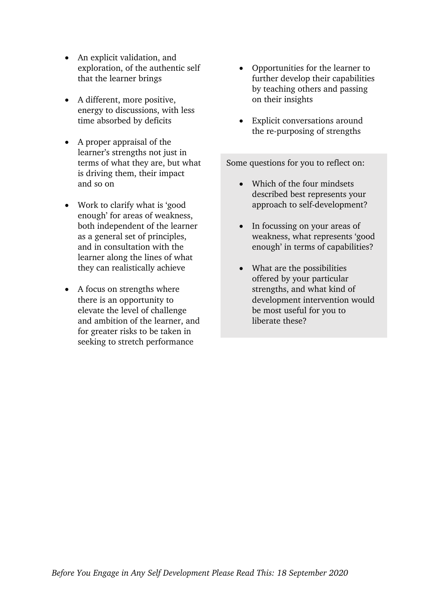- An explicit validation, and exploration, of the authentic self that the learner brings
- A different, more positive, energy to discussions, with less time absorbed by deficits
- A proper appraisal of the learner's strengths not just in terms of what they are, but what is driving them, their impact and so on
- Work to clarify what is 'good enough' for areas of weakness, both independent of the learner as a general set of principles, and in consultation with the learner along the lines of what they can realistically achieve
- A focus on strengths where there is an opportunity to elevate the level of challenge and ambition of the learner, and for greater risks to be taken in seeking to stretch performance
- Opportunities for the learner to further develop their capabilities by teaching others and passing on their insights
- Explicit conversations around the re-purposing of strengths

Some questions for you to reflect on:

- Which of the four mindsets described best represents your approach to self-development?
- In focussing on your areas of weakness, what represents 'good enough' in terms of capabilities?
- What are the possibilities offered by your particular strengths, and what kind of development intervention would be most useful for you to liberate these?